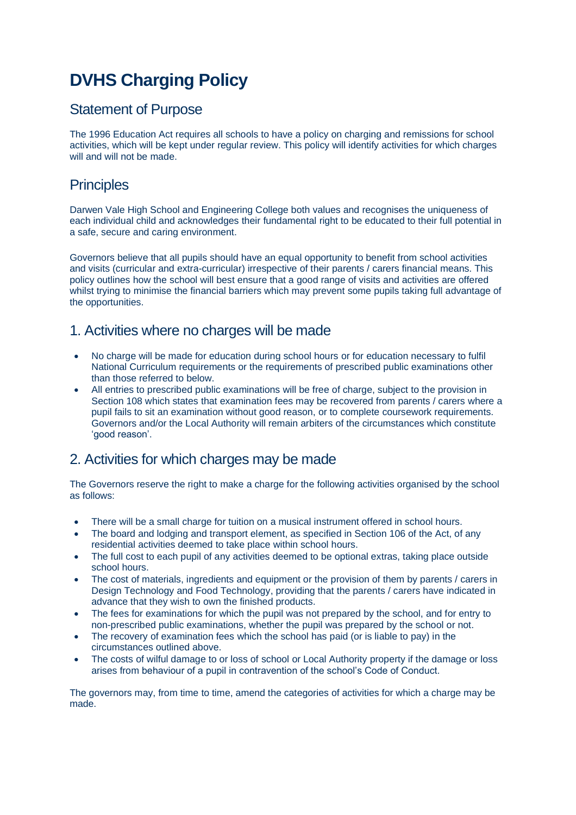# **DVHS Charging Policy**

#### Statement of Purpose

The 1996 Education Act requires all schools to have a policy on charging and remissions for school activities, which will be kept under regular review. This policy will identify activities for which charges will and will not be made.

## **Principles**

Darwen Vale High School and Engineering College both values and recognises the uniqueness of each individual child and acknowledges their fundamental right to be educated to their full potential in a safe, secure and caring environment.

Governors believe that all pupils should have an equal opportunity to benefit from school activities and visits (curricular and extra-curricular) irrespective of their parents / carers financial means. This policy outlines how the school will best ensure that a good range of visits and activities are offered whilst trying to minimise the financial barriers which may prevent some pupils taking full advantage of the opportunities.

## 1. Activities where no charges will be made

- No charge will be made for education during school hours or for education necessary to fulfil National Curriculum requirements or the requirements of prescribed public examinations other than those referred to below.
- All entries to prescribed public examinations will be free of charge, subject to the provision in Section 108 which states that examination fees may be recovered from parents / carers where a pupil fails to sit an examination without good reason, or to complete coursework requirements. Governors and/or the Local Authority will remain arbiters of the circumstances which constitute 'good reason'.

# 2. Activities for which charges may be made

The Governors reserve the right to make a charge for the following activities organised by the school as follows:

- There will be a small charge for tuition on a musical instrument offered in school hours.
- The board and lodging and transport element, as specified in Section 106 of the Act, of any residential activities deemed to take place within school hours.
- The full cost to each pupil of any activities deemed to be optional extras, taking place outside school hours.
- The cost of materials, ingredients and equipment or the provision of them by parents / carers in Design Technology and Food Technology, providing that the parents / carers have indicated in advance that they wish to own the finished products.
- The fees for examinations for which the pupil was not prepared by the school, and for entry to non-prescribed public examinations, whether the pupil was prepared by the school or not.
- The recovery of examination fees which the school has paid (or is liable to pay) in the circumstances outlined above.
- The costs of wilful damage to or loss of school or Local Authority property if the damage or loss arises from behaviour of a pupil in contravention of the school's Code of Conduct.

The governors may, from time to time, amend the categories of activities for which a charge may be made.